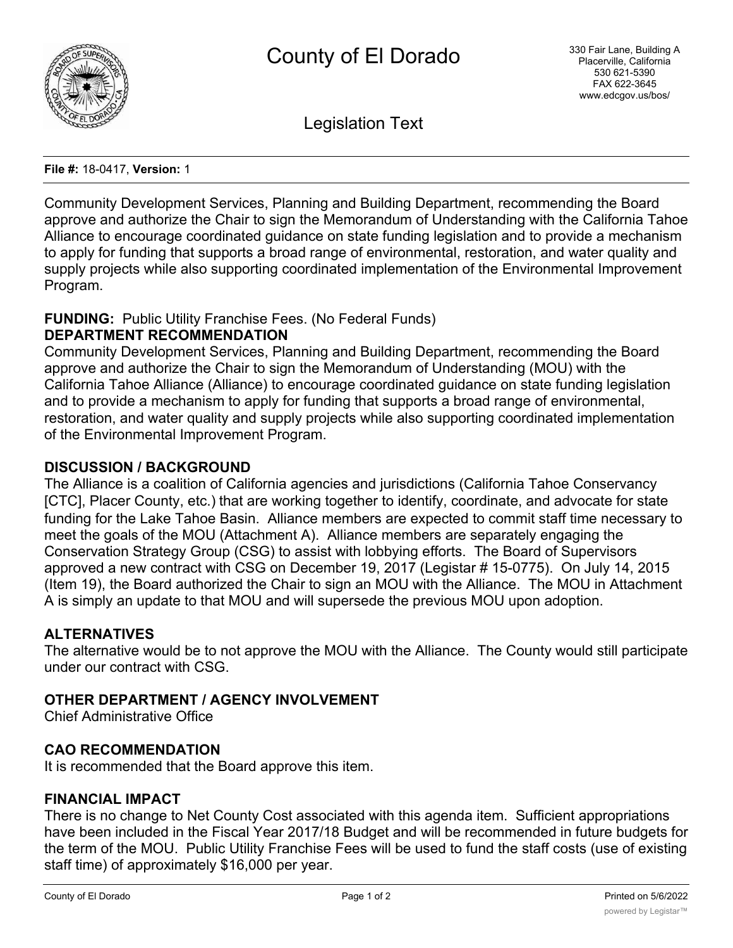

Legislation Text

#### **File #:** 18-0417, **Version:** 1

Community Development Services, Planning and Building Department, recommending the Board approve and authorize the Chair to sign the Memorandum of Understanding with the California Tahoe Alliance to encourage coordinated guidance on state funding legislation and to provide a mechanism to apply for funding that supports a broad range of environmental, restoration, and water quality and supply projects while also supporting coordinated implementation of the Environmental Improvement Program.

### **FUNDING:** Public Utility Franchise Fees. (No Federal Funds)

### **DEPARTMENT RECOMMENDATION**

Community Development Services, Planning and Building Department, recommending the Board approve and authorize the Chair to sign the Memorandum of Understanding (MOU) with the California Tahoe Alliance (Alliance) to encourage coordinated guidance on state funding legislation and to provide a mechanism to apply for funding that supports a broad range of environmental, restoration, and water quality and supply projects while also supporting coordinated implementation of the Environmental Improvement Program.

### **DISCUSSION / BACKGROUND**

The Alliance is a coalition of California agencies and jurisdictions (California Tahoe Conservancy [CTC], Placer County, etc.) that are working together to identify, coordinate, and advocate for state funding for the Lake Tahoe Basin. Alliance members are expected to commit staff time necessary to meet the goals of the MOU (Attachment A). Alliance members are separately engaging the Conservation Strategy Group (CSG) to assist with lobbying efforts. The Board of Supervisors approved a new contract with CSG on December 19, 2017 (Legistar # 15-0775). On July 14, 2015 (Item 19), the Board authorized the Chair to sign an MOU with the Alliance. The MOU in Attachment A is simply an update to that MOU and will supersede the previous MOU upon adoption.

### **ALTERNATIVES**

The alternative would be to not approve the MOU with the Alliance. The County would still participate under our contract with CSG.

### **OTHER DEPARTMENT / AGENCY INVOLVEMENT**

Chief Administrative Office

### **CAO RECOMMENDATION**

It is recommended that the Board approve this item.

# **FINANCIAL IMPACT**

There is no change to Net County Cost associated with this agenda item. Sufficient appropriations have been included in the Fiscal Year 2017/18 Budget and will be recommended in future budgets for the term of the MOU. Public Utility Franchise Fees will be used to fund the staff costs (use of existing staff time) of approximately \$16,000 per year.